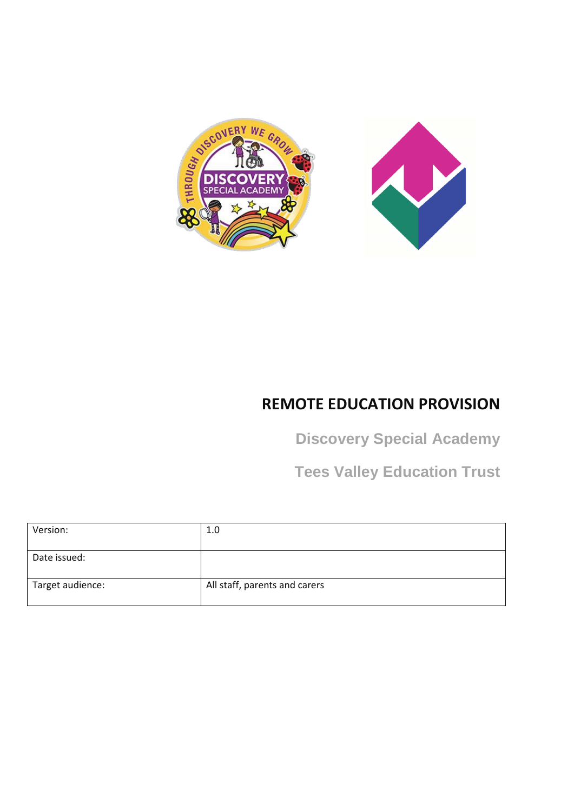



# **REMOTE EDUCATION PROVISION**

**Discovery Special Academy** 

**Tees Valley Education Trust**

| 1.0                           |
|-------------------------------|
|                               |
|                               |
| All staff, parents and carers |
|                               |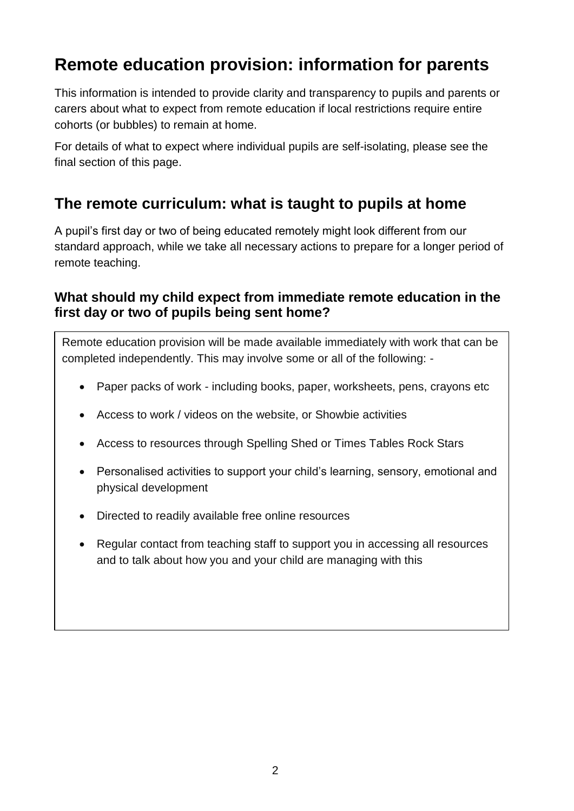# **Remote education provision: information for parents**

This information is intended to provide clarity and transparency to pupils and parents or carers about what to expect from remote education if local restrictions require entire cohorts (or bubbles) to remain at home.

For details of what to expect where individual pupils are self-isolating, please see the final section of this page.

### **The remote curriculum: what is taught to pupils at home**

A pupil's first day or two of being educated remotely might look different from our standard approach, while we take all necessary actions to prepare for a longer period of remote teaching.

#### **What should my child expect from immediate remote education in the first day or two of pupils being sent home?**

Remote education provision will be made available immediately with work that can be completed independently. This may involve some or all of the following: -

- Paper packs of work including books, paper, worksheets, pens, crayons etc
- Access to work / videos on the website, or Showbie activities
- Access to resources through Spelling Shed or Times Tables Rock Stars
- Personalised activities to support your child's learning, sensory, emotional and physical development
- Directed to readily available free online resources
- Regular contact from teaching staff to support you in accessing all resources and to talk about how you and your child are managing with this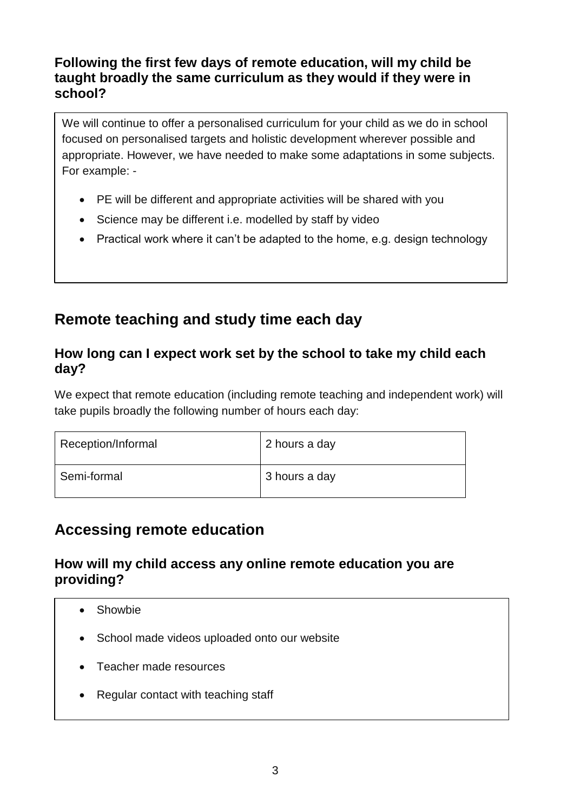#### **Following the first few days of remote education, will my child be taught broadly the same curriculum as they would if they were in school?**

We will continue to offer a personalised curriculum for your child as we do in school focused on personalised targets and holistic development wherever possible and appropriate. However, we have needed to make some adaptations in some subjects. For example: -

- PE will be different and appropriate activities will be shared with you
- Science may be different i.e. modelled by staff by video
- Practical work where it can't be adapted to the home, e.g. design technology

### **Remote teaching and study time each day**

#### **How long can I expect work set by the school to take my child each day?**

We expect that remote education (including remote teaching and independent work) will take pupils broadly the following number of hours each day:

| Reception/Informal | 2 hours a day |
|--------------------|---------------|
| Semi-formal        | 3 hours a day |

### **Accessing remote education**

#### **How will my child access any online remote education you are providing?**

- Showbie
- School made videos uploaded onto our website
- Teacher made resources
- Regular contact with teaching staff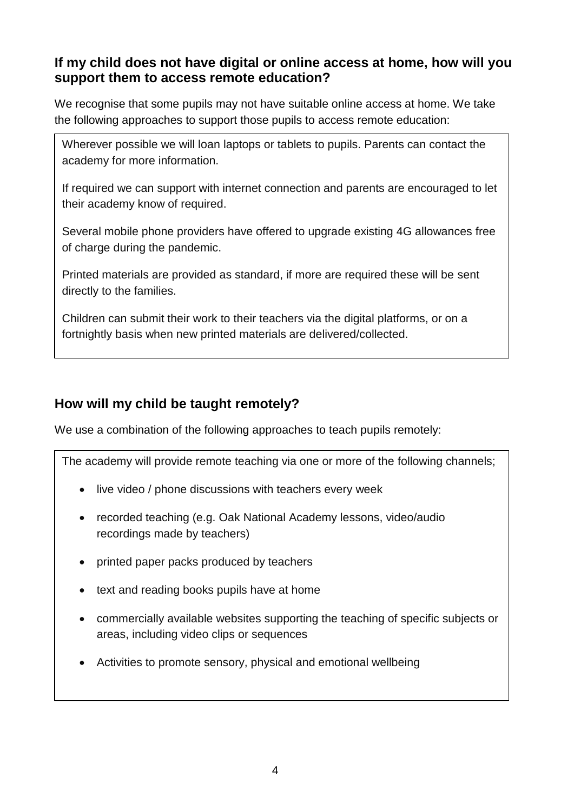#### **If my child does not have digital or online access at home, how will you support them to access remote education?**

We recognise that some pupils may not have suitable online access at home. We take the following approaches to support those pupils to access remote education:

Wherever possible we will loan laptops or tablets to pupils. Parents can contact the academy for more information.

If required we can support with internet connection and parents are encouraged to let their academy know of required.

Several mobile phone providers have offered to upgrade existing 4G allowances free of charge during the pandemic.

Printed materials are provided as standard, if more are required these will be sent directly to the families.

Children can submit their work to their teachers via the digital platforms, or on a fortnightly basis when new printed materials are delivered/collected.

#### **How will my child be taught remotely?**

We use a combination of the following approaches to teach pupils remotely:

The academy will provide remote teaching via one or more of the following channels;

- live video / phone discussions with teachers every week
- recorded teaching (e.g. Oak National Academy lessons, video/audio recordings made by teachers)
- printed paper packs produced by teachers
- text and reading books pupils have at home
- commercially available websites supporting the teaching of specific subjects or areas, including video clips or sequences
- Activities to promote sensory, physical and emotional wellbeing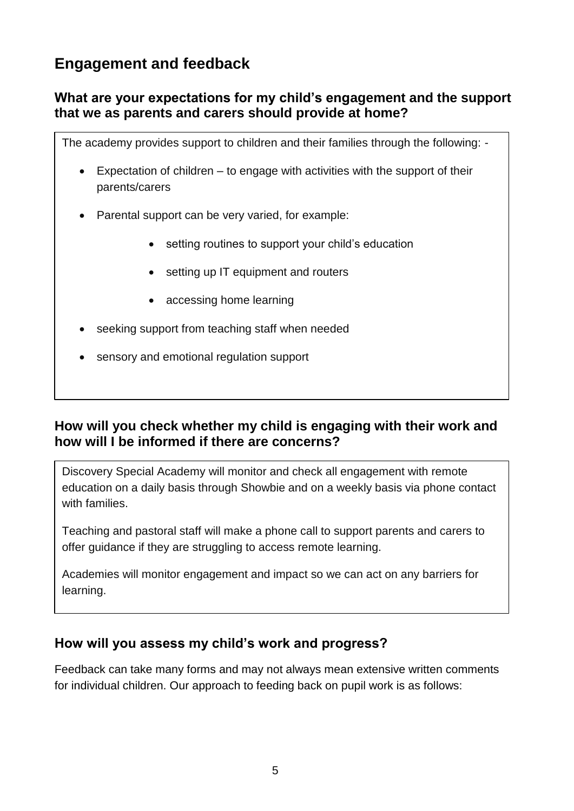## **Engagement and feedback**

#### **What are your expectations for my child's engagement and the support that we as parents and carers should provide at home?**

The academy provides support to children and their families through the following: -

- Expectation of children to engage with activities with the support of their parents/carers
- Parental support can be very varied, for example:
	- setting routines to support your child's education
	- setting up IT equipment and routers
	- accessing home learning
- seeking support from teaching staff when needed
- sensory and emotional regulation support

#### **How will you check whether my child is engaging with their work and how will I be informed if there are concerns?**

Discovery Special Academy will monitor and check all engagement with remote education on a daily basis through Showbie and on a weekly basis via phone contact with families.

Teaching and pastoral staff will make a phone call to support parents and carers to offer guidance if they are struggling to access remote learning.

Academies will monitor engagement and impact so we can act on any barriers for learning.

#### **How will you assess my child's work and progress?**

Feedback can take many forms and may not always mean extensive written comments for individual children. Our approach to feeding back on pupil work is as follows: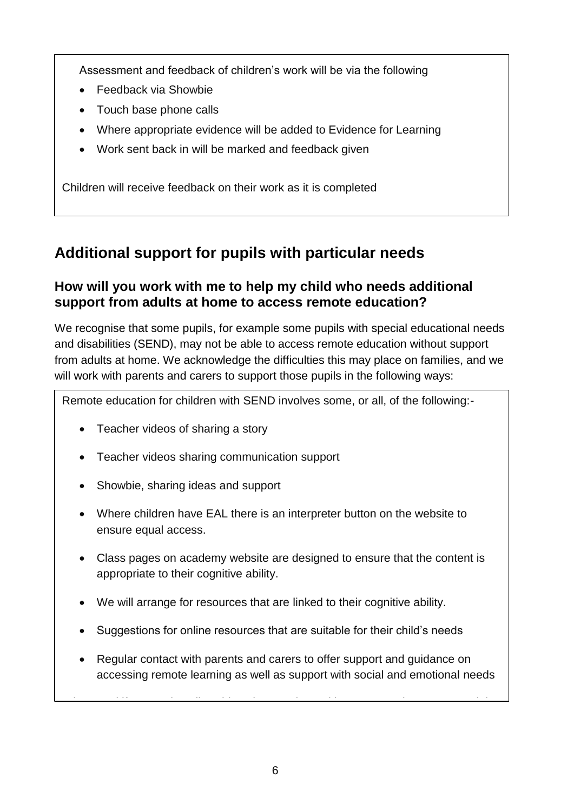Assessment and feedback of children's work will be via the following

- Feedback via Showbie
- Touch base phone calls
- Where appropriate evidence will be added to Evidence for Learning
- Work sent back in will be marked and feedback given

Children will receive feedback on their work as it is completed

### **Additional support for pupils with particular needs**

#### **How will you work with me to help my child who needs additional support from adults at home to access remote education?**

We recognise that some pupils, for example some pupils with special educational needs and disabilities (SEND), may not be able to access remote education without support from adults at home. We acknowledge the difficulties this may place on families, and we will work with parents and carers to support those pupils in the following ways:

Remote education for children with SEND involves some, or all, of the following:-

- Teacher videos of sharing a story
- Teacher videos sharing communication support
- Showbie, sharing ideas and support
- Where children have EAL there is an interpreter button on the website to ensure equal access.
- Class pages on academy website are designed to ensure that the content is appropriate to their cognitive ability.
- We will arrange for resources that are linked to their cognitive ability.
- Suggestions for online resources that are suitable for their child's needs
- Regular contact with parents and carers to offer support and guidance on accessing remote learning as well as support with social and emotional needs

Where and if appropriate, limit and if appropriate, limit  $\alpha$  sessions with parents and carers to modelli and care